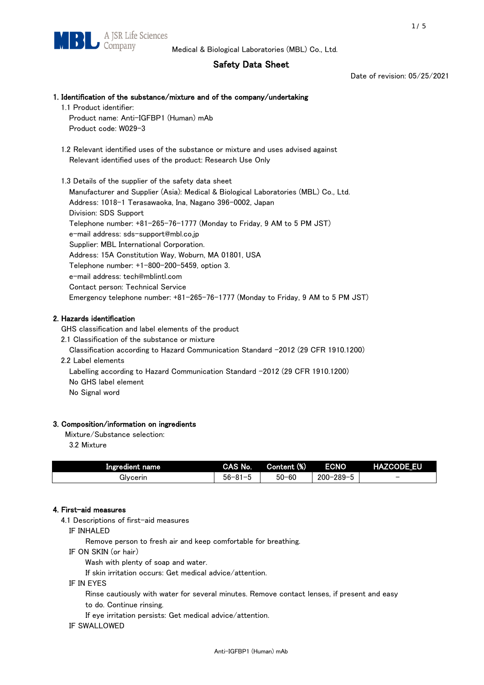## Safety Data Sheet

Date of revision: 05/25/2021

# 1. Identification of the substance/mixture and of the company/undertaking

1.1 Product identifier: Product name: Anti-IGFBP1 (Human) mAb Product code: W029-3

 1.2 Relevant identified uses of the substance or mixture and uses advised against Relevant identified uses of the product: Research Use Only

 1.3 Details of the supplier of the safety data sheet Manufacturer and Supplier (Asia): Medical & Biological Laboratories (MBL) Co., Ltd. Address: 1018-1 Terasawaoka, Ina, Nagano 396-0002, Japan Division: SDS Support Telephone number: +81-265-76-1777 (Monday to Friday, 9 AM to 5 PM JST) e-mail address: sds-support@mbl.co.jp Supplier: MBL International Corporation. Address: 15A Constitution Way, Woburn, MA 01801, USA Telephone number: +1-800-200-5459, option 3. e-mail address: tech@mblintl.com Contact person: Technical Service Emergency telephone number: +81-265-76-1777 (Monday to Friday, 9 AM to 5 PM JST)

## 2. Hazards identification

GHS classification and label elements of the product

2.1 Classification of the substance or mixture

Classification according to Hazard Communication Standard -2012 (29 CFR 1910.1200)

2.2 Label elements

Labelling according to Hazard Communication Standard -2012 (29 CFR 1910.1200) No GHS label element

No Signal word

## 3. Composition/information on ingredients

Mixture/Substance selection:

3.2 Mixture

| Ingredient name | CAS No.             | Content (%) | <b>ECNO</b>                                              | <b>HAZCODE_EU</b>        |
|-----------------|---------------------|-------------|----------------------------------------------------------|--------------------------|
| Glvcerin        | $56 - 81 -$<br>ິບ ເ | $50 - 60$   | $-289 - 1$<br>$200 - 2$<br>$\overline{\phantom{0}}$<br>v | $\overline{\phantom{0}}$ |

## 4. First-aid measures

4.1 Descriptions of first-aid measures

IF INHALED

Remove person to fresh air and keep comfortable for breathing.

IF ON SKIN (or hair)

Wash with plenty of soap and water.

If skin irritation occurs: Get medical advice/attention.

IF IN EYES

Rinse cautiously with water for several minutes. Remove contact lenses, if present and easy

to do. Continue rinsing.

If eye irritation persists: Get medical advice/attention.

IF SWALLOWED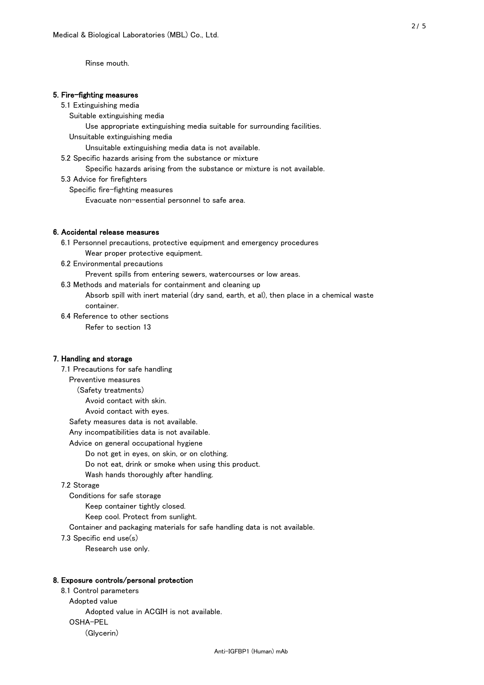Rinse mouth.

#### 5. Fire-fighting measures

#### 5.1 Extinguishing media

Suitable extinguishing media

- Use appropriate extinguishing media suitable for surrounding facilities.
- Unsuitable extinguishing media

Unsuitable extinguishing media data is not available.

5.2 Specific hazards arising from the substance or mixture

Specific hazards arising from the substance or mixture is not available.

5.3 Advice for firefighters

Specific fire-fighting measures

Evacuate non-essential personnel to safe area.

#### 6. Accidental release measures

 6.1 Personnel precautions, protective equipment and emergency procedures Wear proper protective equipment.

6.2 Environmental precautions

Prevent spills from entering sewers, watercourses or low areas.

6.3 Methods and materials for containment and cleaning up

 Absorb spill with inert material (dry sand, earth, et al), then place in a chemical waste container.

6.4 Reference to other sections

Refer to section 13

#### 7. Handling and storage

 7.1 Precautions for safe handling Preventive measures (Safety treatments) Avoid contact with skin. Avoid contact with eyes. Safety measures data is not available. Any incompatibilities data is not available. Advice on general occupational hygiene Do not get in eyes, on skin, or on clothing. Do not eat, drink or smoke when using this product. Wash hands thoroughly after handling. 7.2 Storage Conditions for safe storage Keep container tightly closed.

Keep cool. Protect from sunlight.

Container and packaging materials for safe handling data is not available.

7.3 Specific end use(s)

Research use only.

#### 8. Exposure controls/personal protection

 8.1 Control parameters Adopted value Adopted value in ACGIH is not available. OSHA-PEL (Glycerin)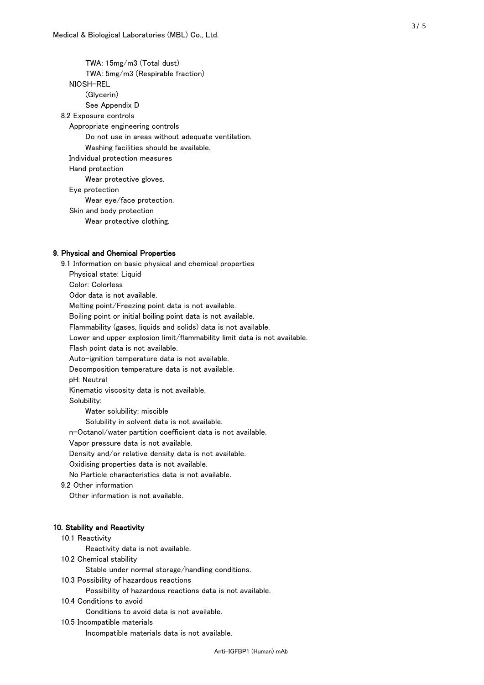TWA: 15mg/m3 (Total dust) TWA: 5mg/m3 (Respirable fraction) NIOSH-REL (Glycerin) See Appendix D 8.2 Exposure controls Appropriate engineering controls Do not use in areas without adequate ventilation. Washing facilities should be available. Individual protection measures Hand protection Wear protective gloves. Eye protection Wear eye/face protection. Skin and body protection Wear protective clothing.

#### 9. Physical and Chemical Properties

 9.1 Information on basic physical and chemical properties Physical state: Liquid Color: Colorless Odor data is not available. Melting point/Freezing point data is not available. Boiling point or initial boiling point data is not available. Flammability (gases, liquids and solids) data is not available. Lower and upper explosion limit/flammability limit data is not available. Flash point data is not available. Auto-ignition temperature data is not available. Decomposition temperature data is not available. pH: Neutral Kinematic viscosity data is not available. Solubility: Water solubility: miscible Solubility in solvent data is not available. n-Octanol/water partition coefficient data is not available. Vapor pressure data is not available. Density and/or relative density data is not available. Oxidising properties data is not available. No Particle characteristics data is not available. 9.2 Other information Other information is not available. 10. Stability and Reactivity 10.1 Reactivity Reactivity data is not available. 10.2 Chemical stability Stable under normal storage/handling conditions. 10.3 Possibility of hazardous reactions

Possibility of hazardous reactions data is not available.

#### 10.4 Conditions to avoid

Conditions to avoid data is not available.

#### 10.5 Incompatible materials

Incompatible materials data is not available.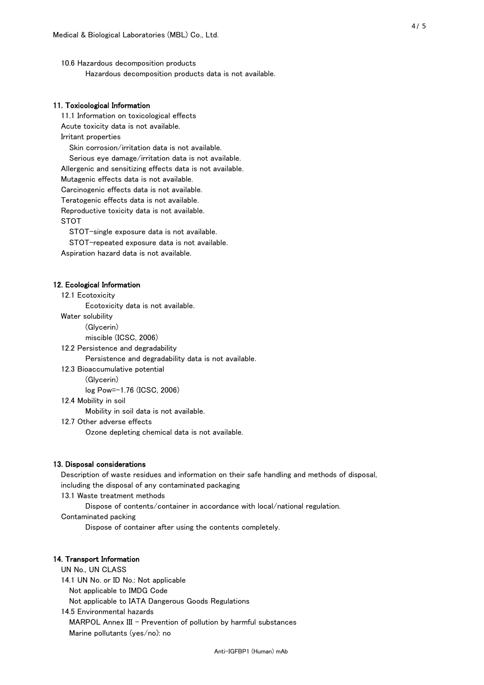10.6 Hazardous decomposition products Hazardous decomposition products data is not available.

#### 11. Toxicological Information

 11.1 Information on toxicological effects Acute toxicity data is not available. Irritant properties Skin corrosion/irritation data is not available. Serious eye damage/irritation data is not available. Allergenic and sensitizing effects data is not available. Mutagenic effects data is not available. Carcinogenic effects data is not available. Teratogenic effects data is not available. Reproductive toxicity data is not available. STOT

STOT-single exposure data is not available.

STOT-repeated exposure data is not available.

Aspiration hazard data is not available.

#### 12. Ecological Information

12.1 Ecotoxicity

Ecotoxicity data is not available.

Water solubility

(Glycerin)

miscible (ICSC, 2006)

12.2 Persistence and degradability

Persistence and degradability data is not available.

12.3 Bioaccumulative potential

(Glycerin)

log Pow=-1.76 (ICSC, 2006)

12.4 Mobility in soil

Mobility in soil data is not available.

12.7 Other adverse effects

Ozone depleting chemical data is not available.

#### 13. Disposal considerations

 Description of waste residues and information on their safe handling and methods of disposal, including the disposal of any contaminated packaging

13.1 Waste treatment methods

Dispose of contents/container in accordance with local/national regulation.

Contaminated packing

Dispose of container after using the contents completely.

#### 14. Transport Information

 UN No., UN CLASS 14.1 UN No. or ID No.: Not applicable Not applicable to IMDG Code Not applicable to IATA Dangerous Goods Regulations

 14.5 Environmental hazards MARPOL Annex III - Prevention of pollution by harmful substances Marine pollutants (yes/no): no